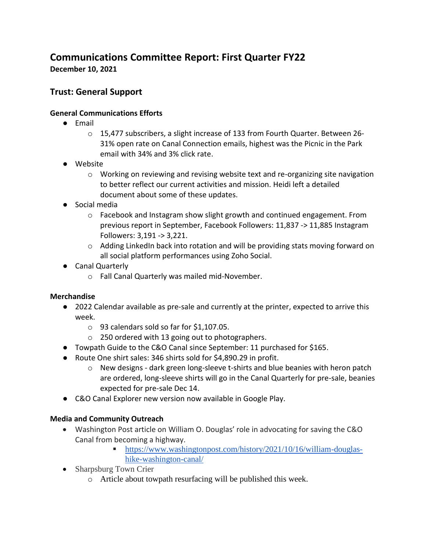# **Communications Committee Report: First Quarter FY22**

**December 10, 2021**

## **Trust: General Support**

#### **General Communications Efforts**

- Email
	- o 15,477 subscribers, a slight increase of 133 from Fourth Quarter. Between 26- 31% open rate on Canal Connection emails, highest was the Picnic in the Park email with 34% and 3% click rate.
- Website
	- $\circ$  Working on reviewing and revising website text and re-organizing site navigation to better reflect our current activities and mission. Heidi left a detailed document about some of these updates.
- Social media
	- $\circ$  Facebook and Instagram show slight growth and continued engagement. From previous report in September, Facebook Followers: 11,837 -> 11,885 Instagram Followers: [3,191](https://www.instagram.com/accounts/login/?next=%2Fcanaltrust%2Ffollowers%2F&source=followed_by_list) -> 3,221.
	- $\circ$  Adding LinkedIn back into rotation and will be providing stats moving forward on all social platform performances using Zoho Social.
- Canal Quarterly
	- o Fall Canal Quarterly was mailed mid-November.

### **Merchandise**

- 2022 Calendar available as pre-sale and currently at the printer, expected to arrive this week.
	- $\circ$  93 calendars sold so far for \$1,107.05.
	- o 250 ordered with 13 going out to photographers.
- Towpath Guide to the C&O Canal since September: 11 purchased for \$165.
- Route One shirt sales: 346 shirts sold for \$4,890.29 in profit.
	- $\circ$  New designs dark green long-sleeve t-shirts and blue beanies with heron patch are ordered, long-sleeve shirts will go in the Canal Quarterly for pre-sale, beanies expected for pre-sale Dec 14.
- C&O Canal Explorer new version now available in Google Play.

#### **Media and Community Outreach**

- Washington Post article on William O. Douglas' role in advocating for saving the C&O Canal from becoming a highway.
	- [https://www.washingtonpost.com/history/2021/10/16/william-douglas](https://www.washingtonpost.com/history/2021/10/16/william-douglas-hike-washington-canal/)[hike-washington-canal/](https://www.washingtonpost.com/history/2021/10/16/william-douglas-hike-washington-canal/)
- Sharpsburg Town Crier
	- o Article about towpath resurfacing will be published this week.